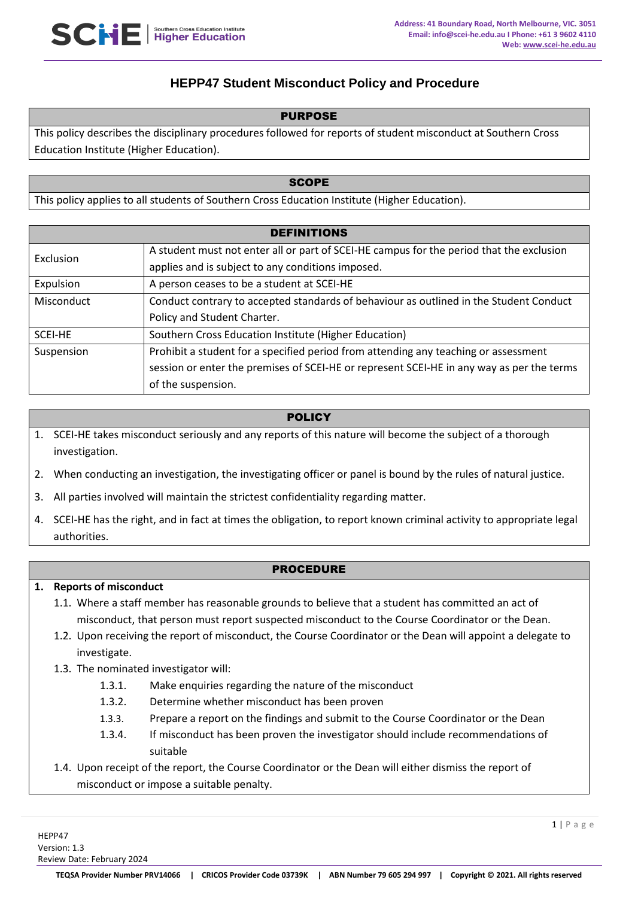# **HEPP47 Student Misconduct Policy and Procedure**

#### PURPOSE

This policy describes the disciplinary procedures followed for reports of student misconduct at Southern Cross Education Institute (Higher Education).

#### **SCOPE**

This policy applies to all students of Southern Cross Education Institute (Higher Education).

| <b>DEFINITIONS</b> |                                                                                           |
|--------------------|-------------------------------------------------------------------------------------------|
| Exclusion          | A student must not enter all or part of SCEI-HE campus for the period that the exclusion  |
|                    | applies and is subject to any conditions imposed.                                         |
| Expulsion          | A person ceases to be a student at SCEI-HE                                                |
| Misconduct         | Conduct contrary to accepted standards of behaviour as outlined in the Student Conduct    |
|                    | Policy and Student Charter.                                                               |
| <b>SCEI-HE</b>     | Southern Cross Education Institute (Higher Education)                                     |
| Suspension         | Prohibit a student for a specified period from attending any teaching or assessment       |
|                    | session or enter the premises of SCEI-HE or represent SCEI-HE in any way as per the terms |
|                    | of the suspension.                                                                        |

### POLICY

- 1. SCEI-HE takes misconduct seriously and any reports of this nature will become the subject of a thorough investigation.
- 2. When conducting an investigation, the investigating officer or panel is bound by the rules of natural justice.
- 3. All parties involved will maintain the strictest confidentiality regarding matter.
- 4. SCEI-HE has the right, and in fact at times the obligation, to report known criminal activity to appropriate legal authorities.

#### PROCEDURE

#### **1. Reports of misconduct**

- 1.1. Where a staff member has reasonable grounds to believe that a student has committed an act of misconduct, that person must report suspected misconduct to the Course Coordinator or the Dean.
- 1.2. Upon receiving the report of misconduct, the Course Coordinator or the Dean will appoint a delegate to investigate.
- 1.3. The nominated investigator will:
	- 1.3.1. Make enquiries regarding the nature of the misconduct
	- 1.3.2. Determine whether misconduct has been proven
	- 1.3.3. Prepare a report on the findings and submit to the Course Coordinator or the Dean
	- 1.3.4. If misconduct has been proven the investigator should include recommendations of suitable
- 1.4. Upon receipt of the report, the Course Coordinator or the Dean will either dismiss the report of misconduct or impose a suitable penalty.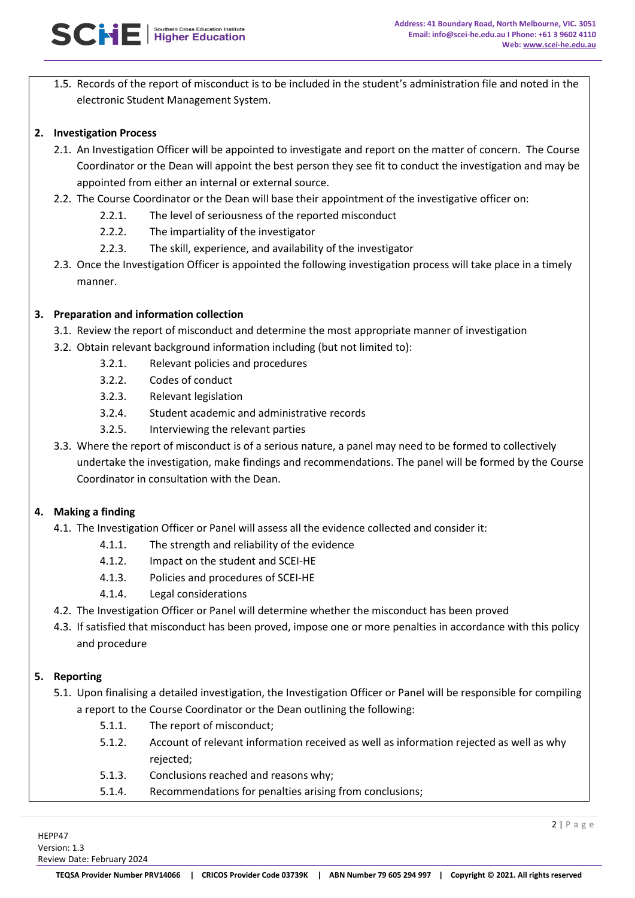1.5. Records of the report of misconduct is to be included in the student's administration file and noted in the electronic Student Management System.

### **2. Investigation Process**

- 2.1. An Investigation Officer will be appointed to investigate and report on the matter of concern. The Course Coordinator or the Dean will appoint the best person they see fit to conduct the investigation and may be appointed from either an internal or external source.
- 2.2. The Course Coordinator or the Dean will base their appointment of the investigative officer on:
	- 2.2.1. The level of seriousness of the reported misconduct
	- 2.2.2. The impartiality of the investigator
	- 2.2.3. The skill, experience, and availability of the investigator
- 2.3. Once the Investigation Officer is appointed the following investigation process will take place in a timely manner.

## **3. Preparation and information collection**

- 3.1. Review the report of misconduct and determine the most appropriate manner of investigation
- 3.2. Obtain relevant background information including (but not limited to):
	- 3.2.1. Relevant policies and procedures
	- 3.2.2. Codes of conduct
	- 3.2.3. Relevant legislation
	- 3.2.4. Student academic and administrative records
	- 3.2.5. Interviewing the relevant parties
- 3.3. Where the report of misconduct is of a serious nature, a panel may need to be formed to collectively undertake the investigation, make findings and recommendations. The panel will be formed by the Course Coordinator in consultation with the Dean.

### **4. Making a finding**

- 4.1. The Investigation Officer or Panel will assess all the evidence collected and consider it:
	- 4.1.1. The strength and reliability of the evidence
	- 4.1.2. Impact on the student and SCEI-HE
	- 4.1.3. Policies and procedures of SCEI-HE
	- 4.1.4. Legal considerations
- 4.2. The Investigation Officer or Panel will determine whether the misconduct has been proved
- 4.3. If satisfied that misconduct has been proved, impose one or more penalties in accordance with this policy and procedure

### **5. Reporting**

5.1. Upon finalising a detailed investigation, the Investigation Officer or Panel will be responsible for compiling a report to the Course Coordinator or the Dean outlining the following:

- 5.1.1. The report of misconduct;
- 5.1.2. Account of relevant information received as well as information rejected as well as why rejected;
- 5.1.3. Conclusions reached and reasons why;
- 5.1.4. Recommendations for penalties arising from conclusions;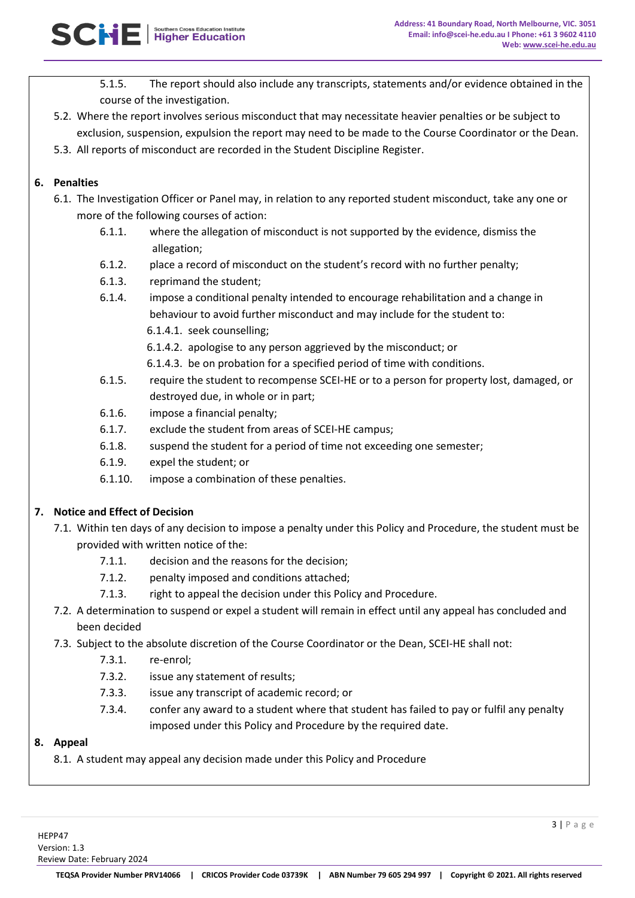- 5.1.5. The report should also include any transcripts, statements and/or evidence obtained in the course of the investigation.
- 5.2. Where the report involves serious misconduct that may necessitate heavier penalties or be subject to exclusion, suspension, expulsion the report may need to be made to the Course Coordinator or the Dean.
- 5.3. All reports of misconduct are recorded in the Student Discipline Register.

## **6. Penalties**

- 6.1. The Investigation Officer or Panel may, in relation to any reported student misconduct, take any one or more of the following courses of action:
	- 6.1.1. where the allegation of misconduct is not supported by the evidence, dismiss the allegation;
	- 6.1.2. place a record of misconduct on the student's record with no further penalty;
	- 6.1.3. reprimand the student;
	- 6.1.4. impose a conditional penalty intended to encourage rehabilitation and a change in behaviour to avoid further misconduct and may include for the student to: 6.1.4.1. seek counselling;
		- 6.1.4.2. apologise to any person aggrieved by the misconduct; or
		- 6.1.4.3. be on probation for a specified period of time with conditions.
	- 6.1.5. require the student to recompense SCEI-HE or to a person for property lost, damaged, or destroyed due, in whole or in part;
	- 6.1.6. impose a financial penalty;
	- 6.1.7. exclude the student from areas of SCEI-HE campus;
	- 6.1.8. suspend the student for a period of time not exceeding one semester;
	- 6.1.9. expel the student; or
	- 6.1.10. impose a combination of these penalties.

## **7. Notice and Effect of Decision**

- 7.1. Within ten days of any decision to impose a penalty under this Policy and Procedure, the student must be provided with written notice of the:
	- 7.1.1. decision and the reasons for the decision;
	- 7.1.2. penalty imposed and conditions attached;
	- 7.1.3. right to appeal the decision under this Policy and Procedure.
- 7.2. A determination to suspend or expel a student will remain in effect until any appeal has concluded and been decided
- 7.3. Subject to the absolute discretion of the Course Coordinator or the Dean, SCEI-HE shall not:
	- 7.3.1. re-enrol;
	- 7.3.2. issue any statement of results;
	- 7.3.3. issue any transcript of academic record; or
	- 7.3.4. confer any award to a student where that student has failed to pay or fulfil any penalty imposed under this Policy and Procedure by the required date.

### **8. Appeal**

8.1. A student may appeal any decision made under this Policy and Procedure